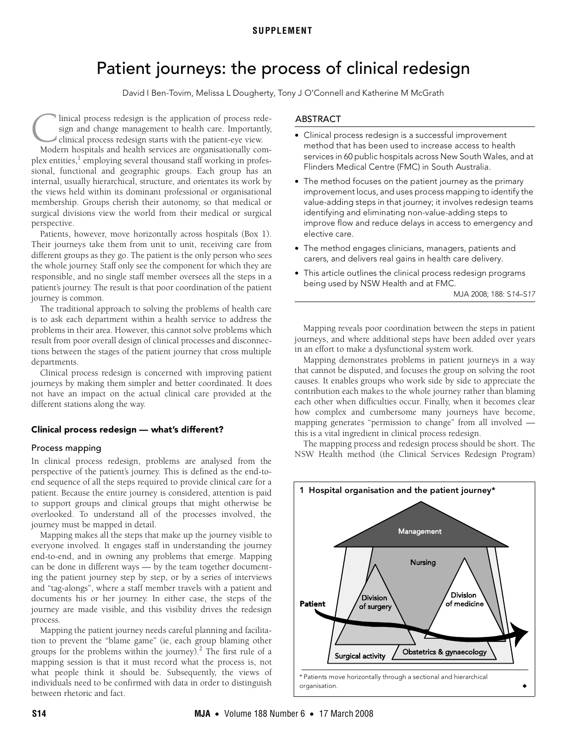# Patient journeys: the process of clinical redesign

David I Ben-Tovim, Melissa L Dougherty, Tony J O'Connell and Katherine M McGrath

<span id="page-0-0"></span>linical process redesign is the application of process redesign and change management to health care. Importantly, clinical process redesign starts with the patient-eye view. Inical process redesign is the application of process redesign and change management to health care. Importantly, clinical process redesign starts with the patient-eye view. Modern hospitals and health services are organis

plex entities,<sup>1</sup> employing several thousand staff working in professional, functional and geographic groups. Each group has an internal, usually hierarchical, structure, and orientates its work by the views held within its dominant professional or organisational membership. Groups cherish their autonomy, so that medical or surgical divisions view the world from their medical or surgical perspective.

Patients, however, move horizontally across hospitals [\(Box 1](#page-0-1)). Their journeys take them from [uni](#page-0-0)t [to](#page-3-2) unit, receiving care from different groups as they go. The patient is the only person who sees the whole journey. Staff only see the component for which they are responsible, and no single staff member oversees all the steps in a patient's journey. The result is that poor coordination of the patient journey is common.

The traditional approach to solving the problems of health care is to ask each department within a health service to address the problems in their area. However, this cannot solve problems which result from poor overall design of clinical processes and disconnections between the stages of the patient journey that cross multiple departments.

Clinical process redesign is concerned with improving patient journeys by making them simpler and better coordinated. It does not have an impact on the actual clinical care provided at the different stations along the way.

# Clinical process redesign — what's different?

# Process mapping

In clinical process redesign, problems are analysed from the perspective of the patient's journey. This is defined as the end-toend sequence of all the steps required to provide clinical care for a patient. Because the entire journey is considered, attention is paid to support groups and clinical groups that might otherwise be overlooked. To understand all of the processes involved, the journey must be mapped in detail.

Mapping makes all the steps that make up the journey visible to everyone involved. It engages staff in understanding the journey end-to-end, and in owning any problems that emerge. Mapping can be done in different ways — by the team together documenting the patient journey step by step, or by a series of interviews and "tag-alongs", where a staff member travels with a patient and documents his or her journey. In either case, the steps of the journey are made visible, and this visibility drives the redesign process.

Mapping the patient journey needs careful planning and facilitation to prevent the "blame game" (ie, each group blaming other groups for the problems within the journey).<sup>[2](#page-3-1)</sup> The first rule of a mapping session is that it must record what the process is, not what people think it should be. Subsequently, the views of individuals need to be confirmed with data in order to distinguish between rhetoric and fact.

# ABSTRACT

- Clinical process redesign is a successful improvement method that has been used to increase access to health services in 60 public hospitals across New South Wales, and at Flinders Medical Centre (FMC) in South Australia.
- The method focuses on the patient journey as the primary improvement locus, and uses process mapping to identify the value-adding steps in that journey; it involves redesign teams identifying and eliminating non-value-adding steps to improve flow and reduce delays in access to emergency and elective care.
- The method engages clinicians, managers, patients and carers, and delivers real gains in health care delivery.
- This article outlines the clinical process redesign programs being used by NSW Health and at FMC.

MJA 2008; 188: S14–S17

Mapping reveals poor coordination between the steps in patient journeys, and where additional steps have been added over years in an effort to make a dysfunctional system work.

Mapping demonstrates problems in patient journeys in a way that cannot be disputed, and focuses the group on solving the root causes. It enables groups who work side by side to appreciate the contribution each makes to the whole journey rather than blaming each other when difficulties occur. Finally, when it becomes clear how complex and cumbersome many journeys have become, mapping generates "permission to change" from all involved this is a vital ingredient in clinical process redesign.

The mapping process and redesign process should be short. The NSW Health method (the Clinical Services Redesign Program)

<span id="page-0-1"></span>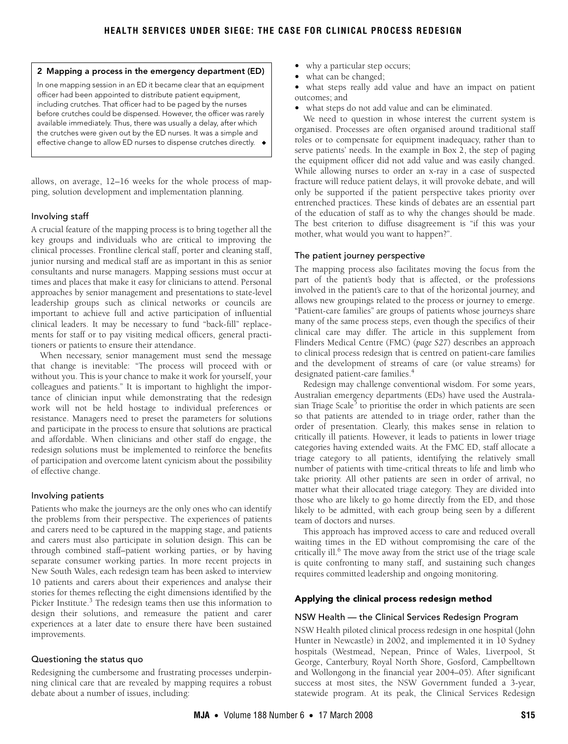#### <span id="page-1-0"></span>2 Mapping a process in the emergency department (ED)

In one mapping session in an ED it became clear that an equipment officer had been appointed to distribute patient equipment, including crutches. That officer had to be paged by the nurses before crutches could be dispensed. However, the officer was rarely available immediately. Thus, there was usually a delay, after which the crutches were given out by the ED nurses. It was a simple and effective change to allow ED nurses to dispense crutches directly. ◆

allows, on average, 12–16 weeks for the whole process of mapping, solution development and implementation planning.

## Involving staff

A crucial feature of the mapping process is to bring together all the key groups and individuals who are critical to improving the clinical processes. Frontline clerical staff, porter and cleaning staff, junior nursing and medical staff are as important in this as senior consultants and nurse managers. Mapping sessions must occur at times and places that make it easy for clinicians to attend. Personal approaches by senior management and presentations to state-level leadership groups such as clinical networks or councils are important to achieve full and active participation of influential clinical leaders. It may be necessary to fund "back-fill" replacements for staff or to pay visiting medical officers, general practitioners or patients to ensure their attendance.

When necessary, senior management must send the message that change is inevitable: "The process will proceed with or without you. This is your chance to make it work for yourself, your colleagues and patients." It is important to highlight the importance of clinician input while demonstrating that the redesign work will not be held hostage to individual preferences or resistance. Managers need to preset the parameters for solutions and participate in the process to ensure that solutions are practical and affordable. When clinicians and other staff do engage, the redesign solutions must be implemented to reinforce the benefits of participation and overcome latent cynicism about the possibility of effective change.

#### Involving patients

Patients who make the journeys are the only ones who can identify the problems from their perspective. The experiences of patients and carers need to be captured in the mapping stage, and patients and carers must also participate in solution design. This can be through combined staff–patient working parties, or by having separate consumer working parties. In more recent projects in New South Wales, each redesign team has been asked to interview 10 patients and carers about their experiences and analyse their stories for themes reflecting the eight dimensions identified by the Picker Institute.<sup>[3](#page-3-3)</sup> The redesign teams then use this information to design their solutions, and remeasure the patient and carer experiences at a later date to ensure there have been sustained improvements.

#### Questioning the status quo

Redesigning the cumbersome and frustrating processes underpinning clinical care that are revealed by mapping requires a robust debate about a number of issues, including:

- why a particular step occurs;
- what can be changed;
- what steps really add value and have an impact on patient outcomes; and
- what steps do not add value and can be eliminated.

We need to question in whose interest the current system is organised. Processes are often organised around traditional staff roles or to compensate for equipment inadequacy, rather than to serve patients' needs. In the example in [Box 2](#page-1-0), the step of paging the equipment officer did not add value and was easily changed. While allowing nurses to order an x-ray in a case of suspected fracture will reduce patient delays, it will provoke debate, and will only be supported if the patient perspective takes priority over entrenched practices. These kinds of debates are an essential part of the education of staff as to why the changes should be made. The best criterion to diffuse disagreement is "if this was your mother, what would you want to happen?".

#### The patient journey perspective

The mapping process also facilitates moving the focus from the part of the patient's body that is affected, or the professions involved in the patient's care to that of the horizontal journey, and allows new groupings related to the process or journey to emerge. "Patient-care families" are groups of patients whose journeys share many of the same process steps, even though the specifics of their clinical care may differ. The article in this supplement from Flinders Medical Centre (FMC) (*page S27*) describes an approach to clinical process redesign that is centred on patient-care families and the development of streams of care (or value streams) for designated patient-care families[.4](#page-3-4)

Redesign may challenge conventional wisdom. For some years, Australian emergency departments (EDs) have used the Australa-sian Triage Scale<sup>[5](#page-3-5)</sup> to prioritise the order in which patients are seen so that patients are attended to in triage order, rather than the order of presentation. Clearly, this makes sense in relation to critically ill patients. However, it leads to patients in lower triage categories having extended waits. At the FMC ED, staff allocate a triage category to all patients, identifying the relatively small number of patients with time-critical threats to life and limb who take priority. All other patients are seen in order of arrival, no matter what their allocated triage category. They are divided into those who are likely to go home directly from the ED, and those likely to be admitted, with each group being seen by a different team of doctors and nurses.

This approach has improved access to care and reduced overall waiting times in the ED without compromising the care of the critically ill.<sup>[6](#page-3-6)</sup> The move away from the strict use of the triage scale is quite confronting to many staff, and sustaining such changes requires committed leadership and ongoing monitoring.

# Applying the clinical process redesign method

#### NSW Health — the Clinical Services Redesign Program

NSW Health piloted clinical process redesign in one hospital (John Hunter in Newcastle) in 2002, and implemented it in 10 Sydney hospitals (Westmead, Nepean, Prince of Wales, Liverpool, St George, Canterbury, Royal North Shore, Gosford, Campbelltown and Wollongong in the financial year 2004–05). After significant success at most sites, the NSW Government funded a 3-year, statewide program. At its peak, the Clinical Services Redesign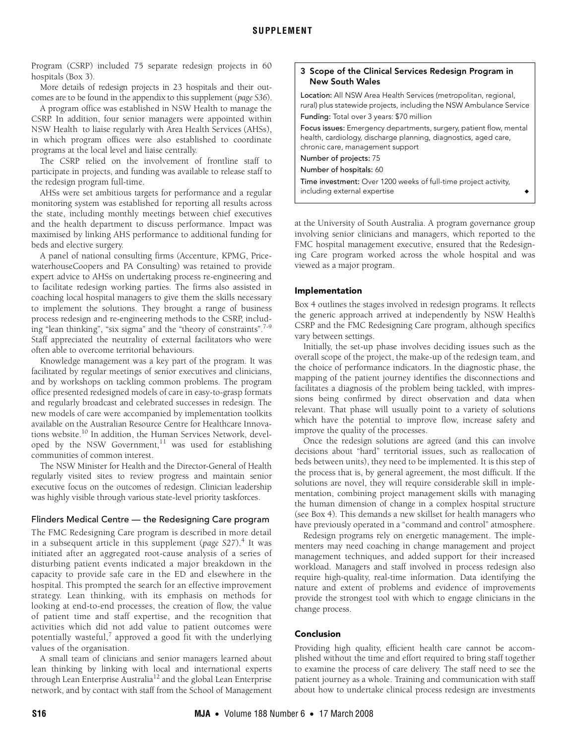Program (CSRP) included 75 separate redesign projects in 60 hospitals [\(Box 3](#page-2-0)).

More details of redesign projects in 23 hospitals and their outcomes are to be found in the appendix to this supplement (*page S36*).

A program office was established in NSW Health to manage the CSRP. In addition, four senior managers were appointed within NSW Health to liaise regularly with Area Health Services (AHSs), in which program offices were also established to coordinate programs at the local level and liaise centrally.

The CSRP relied on the involvement of frontline staff to participate in projects, and funding was available to release staff to the redesign program full-time.

AHSs were set ambitious targets for performance and a regular monitoring system was established for reporting all results across the state, including monthly meetings between chief executives and the health department to discuss performance. Impact was maximised by linking AHS performance to additional funding for beds and elective surgery.

A panel of national consulting firms (Accenture, KPMG, PricewaterhouseCoopers and PA Consulting) was retained to provide expert advice to AHSs on undertaking process re-engineering and to facilitate redesign working parties. The firms also assisted in coaching local hospital managers to give them the skills necessary to implement the solutions. They brought a range of business process redesign and re-engineering methods to the CSRP, including "lean thinking", "six sigma" and the "theory of constraints". $7-9$  $7-9$  $7-9$ Staff appreciated the neutrality of external facilitators who were often able to overcome territorial behaviours.

Knowledge management was a key part of the program. It was facilitated by regular meetings of senior executives and clinicians, and by workshops on tackling common problems. The program office presented redesigned models of care in easy-to-grasp formats and regularly broadcast and celebrated successes in redesign. The new models of care were accompanied by implementation toolkits available on the Australian Resource Centre for Healthcare Innovations website.<sup>10</sup> In addition, the Human Services Network, developed by the NSW Government, $11$  was used for establishing communities of common interest.

The NSW Minister for Health and the Director-General of Health regularly visited sites to review progress and maintain senior executive focus on the outcomes of redesign. Clinician leadership was highly visible through various state-level priority taskforces.

#### Flinders Medical Centre — the Redesigning Care program

The FMC Redesigning Care program is described in more detail in a subsequent article in this supplement (*page S27*).[4](#page-3-4) It was initiated after an aggregated root-cause analysis of a series of disturbing patient events indicated a major breakdown in the capacity to provide safe care in the ED and elsewhere in the hospital. This prompted the search for an effective improvement strategy. Lean thinking, with its emphasis on methods for looking at end-to-end processes, the creation of flow, the value of patient time and staff expertise, and the recognition that activities which did not add value to patient outcomes were potentially wasteful, $^7$  $^7$  approved a good fit with the underlying values of the organisation.

A small team of clinicians and senior managers learned about lean thinking by linking with local and international experts through Lean Enterprise Australia<sup>12</sup> and the global Lean Enterprise network, and by contact with staff from the School of Management

## <span id="page-2-0"></span>3 Scope of the Clinical Services Redesign Program in New South Wales

Location: All NSW Area Health Services (metropolitan, regional, rural) plus statewide projects, including the NSW Ambulance Service Funding: Total over 3 years: \$70 million Focus issues: Emergency departments, surgery, patient flow, mental health, cardiology, discharge planning, diagnostics, aged care, chronic care, management support Number of projects: 75 Number of hospitals: 60 Time investment: Over 1200 weeks of full-time project activity, including external expertise

at the University of South Australia. A program governance group involving senior clinicians and managers, which reported to the FMC hospital management executive, ensured that the Redesigning Care program worked across the whole hospital and was viewed as a major program.

#### Implementation

[Box 4](#page-3-11) outlines the stages involved in redesign programs. It reflects the generic approach arrived at independently by NSW Health's CSRP and the FMC Redesigning Care program, although specifics vary between settings.

Initially, the set-up phase involves deciding issues such as the overall scope of the project, the make-up of the redesign team, and the choice of performance indicators. In the diagnostic phase, the mapping of the patient journey identifies the disconnections and facilitates a diagnosis of the problem being tackled, with impressions being confirmed by direct observation and data when relevant. That phase will usually point to a variety of solutions which have the potential to improve flow, increase safety and improve the quality of the processes.

Once the redesign solutions are agreed (and this can involve decisions about "hard" territorial issues, such as reallocation of beds between units), they need to be implemented. It is this step of the process that is, by general agreement, the most difficult. If the solutions are novel, they will require considerable skill in implementation, combining project management skills with managing the human dimension of change in a complex hospital structure (see Box 4). This demands a new skillset for health managers who have previously operated in a "command and control" atmosphere.

Redesign programs rely on energetic management. The implementers may need coaching in change management and project management techniques, and added support for their increased workload. Managers and staff involved in process redesign also require high-quality, real-time information. Data identifying the nature and extent of problems and evidence of improvements provide the strongest tool with which to engage clinicians in the change process.

#### Conclusion

Providing high quality, efficient health care cannot be accomplished without the time and effort required to bring staff together to examine the process of care delivery. The staff need to see the patient journey as a whole. Training and communication with staff about how to undertake clinical process redesign are investments